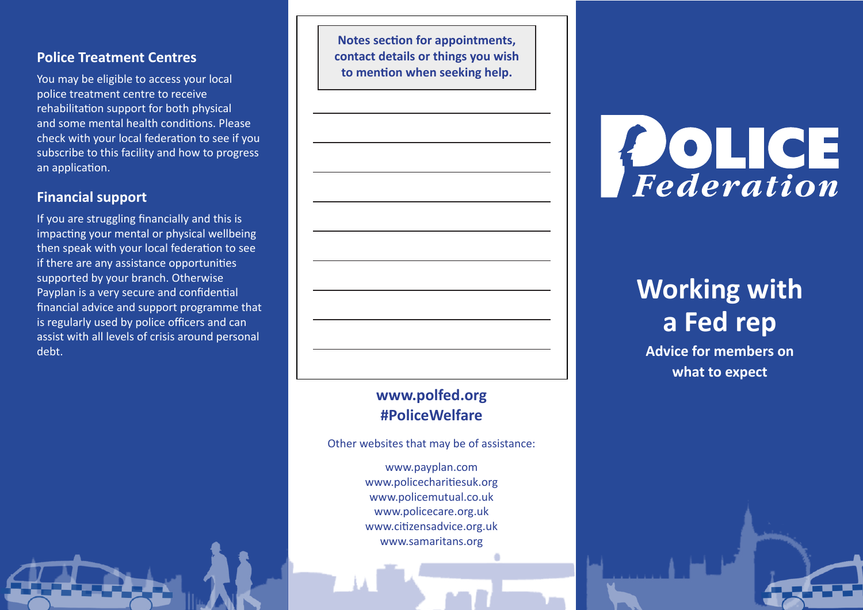### **Police Treatment Centres**

You may be eligible to access your local police treatment centre to receive rehabilitation support for both physical and some mental health conditions. Please check with your local federation to see if you subscribe to this facility and how to progress an application.

## **Financial support**

If you are struggling financially and this is impacting your mental or physical wellbeing then speak with your local federation to see if there are any assistance opportunities supported by your branch. Otherwise Payplan is a very secure and confidential financial advice and support programme that is regularly used by police officers and can assist with all levels of crisis around personal debt.

**Notes section for appointments, contact details or things you wish to mention when seeking help.**

## **[www.polfed.org](http://www.polfed.org) #PoliceWelfare**

Other websites that may be of assistance:

[www.payplan.](http://www.payplan.com)com [www.policecharitiesuk.org](http://www.policecharitiesuk.org) [www.policemutual.co.uk](http://www.policemutual.co.uk) [www.policecare.org.uk](http://www.policecare.org.uk) [www.citizensadvice.org.uk](http://www.citizensadvice.org.uk) [www.samaritans.org](http://www.samaritans.org)



# **Working with a Fed rep**

**Advice for members on what to expect**